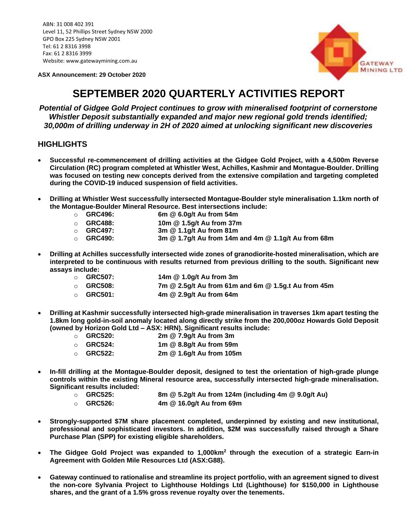ABN: 31 008 402 391 Level 11, 52 Phillips Street Sydney NSW 2000 GPO Box 225 Sydney NSW 2001 Tel: 61 2 8316 3998 Fax: 61 2 8316 3999 Website: www.gatewaymining.com.au

**ASX Announcement: 29 October 2020**



# **SEPTEMBER 2020 QUARTERLY ACTIVITIES REPORT**

*Potential of Gidgee Gold Project continues to grow with mineralised footprint of cornerstone Whistler Deposit substantially expanded and major new regional gold trends identified; 30,000m of drilling underway in 2H of 2020 aimed at unlocking significant new discoveries*

## **HIGHLIGHTS**

- **Successful re-commencement of drilling activities at the Gidgee Gold Project, with a 4,500m Reverse Circulation (RC) program completed at Whistler West, Achilles, Kashmir and Montague-Boulder. Drilling was focused on testing new concepts derived from the extensive compilation and targeting completed during the COVID-19 induced suspension of field activities.**
- **Drilling at Whistler West successfully intersected Montague-Boulder style mineralisation 1.1km north of the Montague-Boulder Mineral Resource. Best intersections include:**
	- o **GRC496: 6m @ 6.0g/t Au from 54m**
	- o **GRC488: 10m @ 1.5g/t Au from 37m**
	- o **GRC497: 3m @ 1.1g/t Au from 81m**
	- o **GRC490: 3m @ 1.7g/t Au from 14m and 4m @ 1.1g/t Au from 68m**
- **Drilling at Achilles successfully intersected wide zones of granodiorite-hosted mineralisation, which are interpreted to be continuous with results returned from previous drilling to the south. Significant new assays include:**
	- o **GRC507: 14m @ 1.0g/t Au from 3m**
	- o **GRC508: 7m @ 2.5g/t Au from 61m and 6m @ 1.5g.t Au from 45m**
	- o **GRC501: 4m @ 2.9g/t Au from 64m**
- **Drilling at Kashmir successfully intersected high-grade mineralisation in traverses 1km apart testing the 1.8km long gold-in-soil anomaly located along directly strike from the 200,000oz Howards Gold Deposit (owned by Horizon Gold Ltd – ASX: HRN). Significant results include:**
	- o **GRC520: 2m @ 7.9g/t Au from 3m**  o **GRC524: 1m @ 8.8g/t Au from 59m**  o **GRC522: 2m @ 1.6g/t Au from 105m**
- **In-fill drilling at the Montague-Boulder deposit, designed to test the orientation of high-grade plunge controls within the existing Mineral resource area, successfully intersected high-grade mineralisation. Significant results included:**
	- o **GRC525: 8m @ 5.2g/t Au from 124m (including 4m @ 9.0g/t Au)**
	- o **GRC526: 4m @ 16.0g/t Au from 69m**
- **Strongly-supported \$7M share placement completed, underpinned by existing and new institutional, professional and sophisticated investors. In addition, \$2M was successfully raised through a Share Purchase Plan (SPP) for existing eligible shareholders.**
- **The Gidgee Gold Project was expanded to 1,000km<sup>2</sup> through the execution of a strategic Earn-in Agreement with Golden Mile Resources Ltd (ASX:G88).**
- **Gateway continued to rationalise and streamline its project portfolio, with an agreement signed to divest the non-core Sylvania Project to Lighthouse Holdings Ltd (Lighthouse) for \$150,000 in Lighthouse shares, and the grant of a 1.5% gross revenue royalty over the tenements.**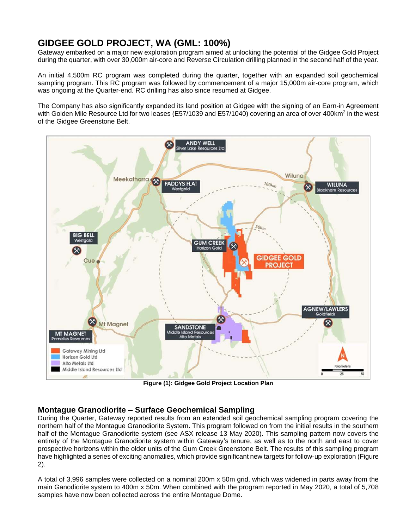## **GIDGEE GOLD PROJECT, WA (GML: 100%)**

Gateway embarked on a major new exploration program aimed at unlocking the potential of the Gidgee Gold Project during the quarter, with over 30,000m air-core and Reverse Circulation drilling planned in the second half of the year.

An initial 4,500m RC program was completed during the quarter, together with an expanded soil geochemical sampling program. This RC program was followed by commencement of a major 15,000m air-core program, which was ongoing at the Quarter-end. RC drilling has also since resumed at Gidgee.

The Company has also significantly expanded its land position at Gidgee with the signing of an Earn-in Agreement with Golden Mile Resource Ltd for two leases (E57/1039 and E57/1040) covering an area of over 400km<sup>2</sup> in the west of the Gidgee Greenstone Belt.



**Figure (1): Gidgee Gold Project Location Plan** 

## **Montague Granodiorite – Surface Geochemical Sampling**

During the Quarter, Gateway reported results from an extended soil geochemical sampling program covering the northern half of the Montague Granodiorite System. This program followed on from the initial results in the southern half of the Montague Granodiorite system (see ASX release 13 May 2020). This sampling pattern now covers the entirety of the Montague Granodiorite system within Gateway's tenure, as well as to the north and east to cover prospective horizons within the older units of the Gum Creek Greenstone Belt. The results of this sampling program have highlighted a series of exciting anomalies, which provide significant new targets for follow-up exploration (Figure 2).

A total of 3,996 samples were collected on a nominal 200m x 50m grid, which was widened in parts away from the main Ganodiorite system to 400m x 50m. When combined with the program reported in May 2020, a total of 5,708 samples have now been collected across the entire Montague Dome.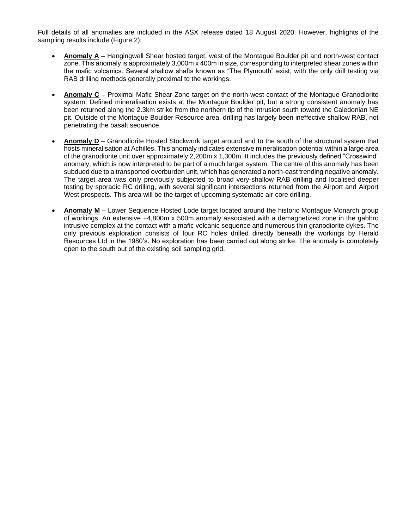Full details of all anomalies are included in the ASX release dated 18 August 2020. However, highlights of the sampling results include (Figure 2):

- **Anomaly A** Hangingwall Shear hosted target, west of the Montague Boulder pit and north-west contact zone. This anomaly is approximately 3,000m x 400m in size, corresponding to interpreted shear zones within the mafic volcanics. Several shallow shafts known as "The Plymouth" exist, with the only drill testing via RAB drilling methods generally proximal to the workings.
- **Anomaly C** Proximal Mafic Shear Zone target on the north-west contact of the Montague Granodiorite system. Defined mineralisation exists at the Montague Boulder pit, but a strong consistent anomaly has been returned along the 2.3km strike from the northern tip of the intrusion south toward the Caledonian NE pit. Outside of the Montague Boulder Resource area, drilling has largely been ineffective shallow RAB, not penetrating the basalt sequence.
- **Anomaly D** Granodiorite Hosted Stockwork target around and to the south of the structural system that hosts mineralisation at Achilles. This anomaly indicates extensive mineralisation potential within a large area of the granodiorite unit over approximately 2,200m x 1,300m. It includes the previously defined "Crosswind" anomaly, which is now interpreted to be part of a much larger system. The centre of this anomaly has been subdued due to a transported overburden unit, which has generated a north-east trending negative anomaly. The target area was only previously subjected to broad very-shallow RAB drilling and localised deeper testing by sporadic RC drilling, with several significant intersections returned from the Airport and Airport West prospects. This area will be the target of upcoming systematic air-core drilling.
- **Anomaly M** Lower Sequence Hosted Lode target located around the historic Montague Monarch group of workings. An extensive +4,800m x 500m anomaly associated with a demagnetized zone in the gabbro intrusive complex at the contact with a mafic volcanic sequence and numerous thin granodiorite dykes. The only previous exploration consists of four RC holes drilled directly beneath the workings by Herald Resources Ltd in the 1980's. No exploration has been carried out along strike. The anomaly is completely open to the south out of the existing soil sampling grid.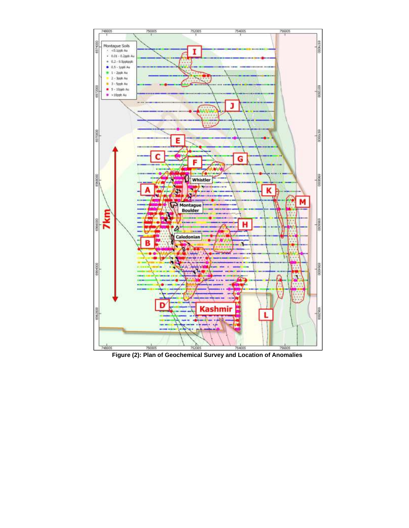

**Figure (2): Plan of Geochemical Survey and Location of Anomalies**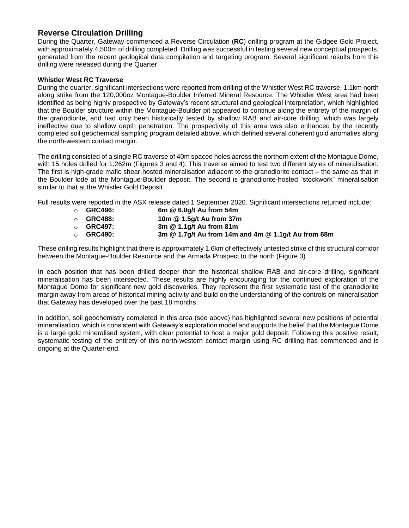## **Reverse Circulation Drilling**

During the Quarter, Gateway commenced a Reverse Circulation (**RC**) drilling program at the Gidgee Gold Project, with approximately 4,500m of drilling completed. Drilling was successful in testing several new conceptual prospects, generated from the recent geological data compilation and targeting program. Several significant results from this drilling were released during the Quarter.

### **Whistler West RC Traverse**

During the quarter, significant intersections were reported from drilling of the Whistler West RC traverse, 1.1km north along strike from the 120,000oz Montague-Boulder Inferred Mineral Resource. The Whistler West area had been identified as being highly prospective by Gateway's recent structural and geological interpretation, which highlighted that the Boulder structure within the Montague-Boulder pit appeared to continue along the entirety of the margin of the granodiorite, and had only been historically tested by shallow RAB and air-core drilling, which was largely ineffective due to shallow depth penetration. The prospectivity of this area was also enhanced by the recently completed soil geochemical sampling program detailed above, which defined several coherent gold anomalies along the north-western contact margin.

The drilling consisted of a single RC traverse of 40m spaced holes across the northern extent of the Montague Dome, with 15 holes drilled for 1,262m (Figures 3 and 4). This traverse aimed to test two different styles of mineralisation. The first is high-grade mafic shear-hosted mineralisation adjacent to the granodiorite contact – the same as that in the Boulder lode at the Montague-Boulder deposit. The second is granodiorite-hosted "stockwork" mineralisation similar to that at the Whistler Gold Deposit.

Full results were reported in the ASX release dated 1 September 2020. Significant intersections returned include:

- o **GRC496: 6m @ 6.0g/t Au from 54m** o **GRC488: 10m @ 1.5g/t Au from 37m**
- o **GRC497: 3m @ 1.1g/t Au from 81m**
- o **GRC490: 3m @ 1.7g/t Au from 14m and 4m @ 1.1g/t Au from 68m**

These drilling results highlight that there is approximately 1.6km of effectively untested strike of this structural corridor between the Montague-Boulder Resource and the Armada Prospect to the north (Figure 3).

In each position that has been drilled deeper than the historical shallow RAB and air-core drilling, significant mineralisation has been intersected. These results are highly encouraging for the continued exploration of the Montague Dome for significant new gold discoveries. They represent the first systematic test of the granodiorite margin away from areas of historical mining activity and build on the understanding of the controls on mineralisation that Gateway has developed over the past 18 months.

In addition, soil geochemistry completed in this area (see above) has highlighted several new positions of potential mineralisation, which is consistent with Gateway's exploration model and supports the belief that the Montague Dome is a large gold mineralised system, with clear potential to host a major gold deposit. Following this positive result, systematic testing of the entirety of this north-western contact margin using RC drilling has commenced and is ongoing at the Quarter-end.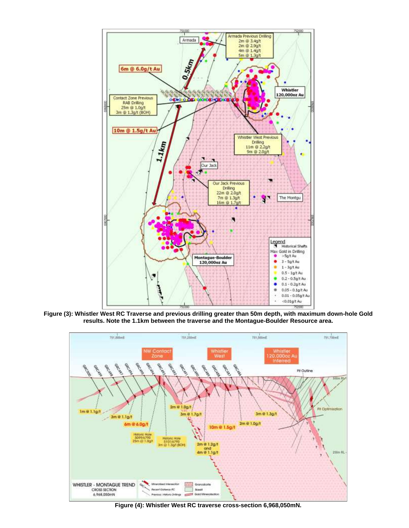

**Figure (3): Whistler West RC Traverse and previous drilling greater than 50m depth, with maximum down-hole Gold results. Note the 1.1km between the traverse and the Montague-Boulder Resource area.** 



**Figure (4): Whistler West RC traverse cross-section 6,968,050mN.**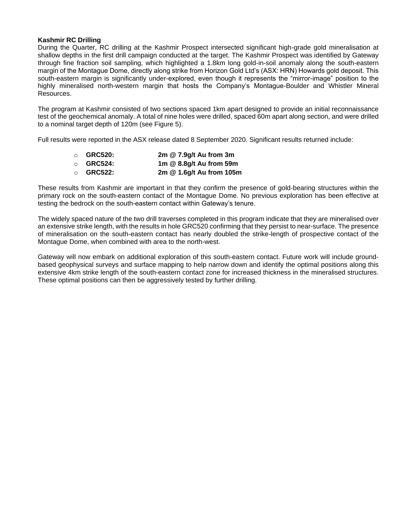#### **Kashmir RC Drilling**

During the Quarter, RC drilling at the Kashmir Prospect intersected significant high-grade gold mineralisation at shallow depths in the first drill campaign conducted at the target. The Kashmir Prospect was identified by Gateway through fine fraction soil sampling, which highlighted a 1.8km long gold-in-soil anomaly along the south-eastern margin of the Montague Dome, directly along strike from Horizon Gold Ltd's (ASX: HRN) Howards gold deposit. This south-eastern margin is significantly under-explored, even though it represents the "mirror-image" position to the highly mineralised north-western margin that hosts the Company's Montague-Boulder and Whistler Mineral Resources.

The program at Kashmir consisted of two sections spaced 1km apart designed to provide an initial reconnaissance test of the geochemical anomaly. A total of nine holes were drilled, spaced 60m apart along section, and were drilled to a nominal target depth of 120m (see Figure 5).

Full results were reported in the ASX release dated 8 September 2020. Significant results returned include:

| $\circ$ GRC520: | 2m @ 7.9g/t Au from 3m   |
|-----------------|--------------------------|
| $\circ$ GRC524: | 1m @ 8.8g/t Au from 59m  |
| $\circ$ GRC522: | 2m @ 1.6g/t Au from 105m |

These results from Kashmir are important in that they confirm the presence of gold-bearing structures within the primary rock on the south-eastern contact of the Montague Dome. No previous exploration has been effective at testing the bedrock on the south-eastern contact within Gateway's tenure.

The widely spaced nature of the two drill traverses completed in this program indicate that they are mineralised over an extensive strike length, with the results in hole GRC520 confirming that they persist to near-surface. The presence of mineralisation on the south-eastern contact has nearly doubled the strike-length of prospective contact of the Montague Dome, when combined with area to the north-west.

Gateway will now embark on additional exploration of this south-eastern contact. Future work will include groundbased geophysical surveys and surface mapping to help narrow down and identify the optimal positions along this extensive 4km strike length of the south-eastern contact zone for increased thickness in the mineralised structures. These optimal positions can then be aggressively tested by further drilling.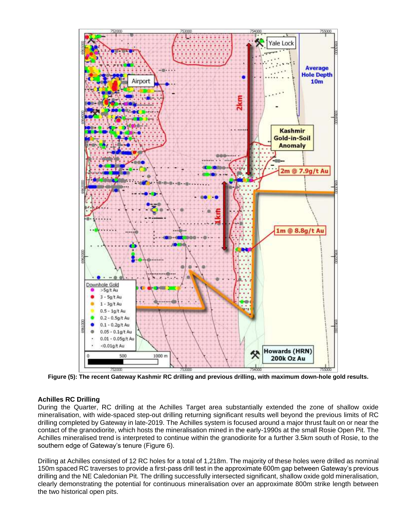

**Figure (5): The recent Gateway Kashmir RC drilling and previous drilling, with maximum down-hole gold results.** 

## **Achilles RC Drilling**

During the Quarter, RC drilling at the Achilles Target area substantially extended the zone of shallow oxide mineralisation, with wide-spaced step-out drilling returning significant results well beyond the previous limits of RC drilling completed by Gateway in late-2019. The Achilles system is focused around a major thrust fault on or near the contact of the granodiorite, which hosts the mineralisation mined in the early-1990s at the small Rosie Open Pit. The Achilles mineralised trend is interpreted to continue within the granodiorite for a further 3.5km south of Rosie, to the southern edge of Gateway's tenure (Figure 6).

Drilling at Achilles consisted of 12 RC holes for a total of 1,218m. The majority of these holes were drilled as nominal 150m spaced RC traverses to provide a first-pass drill test in the approximate 600m gap between Gateway's previous drilling and the NE Caledonian Pit. The drilling successfully intersected significant, shallow oxide gold mineralisation, clearly demonstrating the potential for continuous mineralisation over an approximate 800m strike length between the two historical open pits.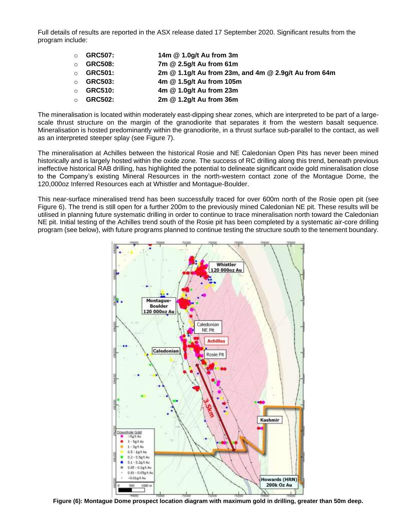Full details of results are reported in the ASX release dated 17 September 2020. Significant results from the program include:

| $\Omega$ | <b>GRC507:</b> | 14m @ 1.0g/t Au from 3m                              |
|----------|----------------|------------------------------------------------------|
|          | <b>GRC508:</b> | 7m @ 2.5g/t Au from 61m                              |
| $\cap$   | <b>GRC501:</b> | 2m @ 1.1g/t Au from 23m, and 4m @ 2.9g/t Au from 64m |
| $\cap$   | <b>GRC503:</b> | 4m @ 1.5g/t Au from 105m                             |
| $\cap$   | <b>GRC510:</b> | 4m @ 1.0g/t Au from 23m                              |
|          | <b>GRC502:</b> | 2m @ 1.2g/t Au from 36m                              |

The mineralisation is located within moderately east-dipping shear zones, which are interpreted to be part of a largescale thrust structure on the margin of the granodiorite that separates it from the western basalt sequence. Mineralisation is hosted predominantly within the granodiorite, in a thrust surface sub-parallel to the contact, as well as an interpreted steeper splay (see Figure 7).

The mineralisation at Achilles between the historical Rosie and NE Caledonian Open Pits has never been mined historically and is largely hosted within the oxide zone. The success of RC drilling along this trend, beneath previous ineffective historical RAB drilling, has highlighted the potential to delineate significant oxide gold mineralisation close to the Company's existing Mineral Resources in the north-western contact zone of the Montague Dome, the 120,000oz Inferred Resources each at Whistler and Montague-Boulder.

This near-surface mineralised trend has been successfully traced for over 600m north of the Rosie open pit (see Figure 6). The trend is still open for a further 200m to the previously mined Caledonian NE pit. These results will be utilised in planning future systematic drilling in order to continue to trace mineralisation north toward the Caledonian NE pit. Initial testing of the Achilles trend south of the Rosie pit has been completed by a systematic air-core drilling program (see below), with future programs planned to continue testing the structure south to the tenement boundary.



**Figure (6): Montague Dome prospect location diagram with maximum gold in drilling, greater than 50m deep.**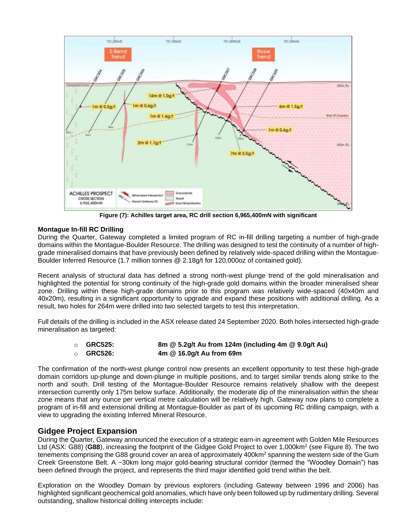

**Figure (7): Achilles target area, RC drill section 6,965,400mN with significant**

## **Montague In-fill RC Drilling**

During the Quarter, Gateway completed a limited program of RC in-fill drilling targeting a number of high-grade domains within the Montague-Boulder Resource. The drilling was designed to test the continuity of a number of highgrade mineralised domains that have previously been defined by relatively wide-spaced drilling within the Montague-Boulder Inferred Resource (1.7 million tonnes @ 2.18g/t for 120,000oz of contained gold).

Recent analysis of structural data has defined a strong north-west plunge trend of the gold mineralisation and highlighted the potential for strong continuity of the high-grade gold domains within the broader mineralised shear zone. Drilling within these high-grade domains prior to this program was relatively wide-spaced (40x40m and 40x20m), resulting in a significant opportunity to upgrade and expand these positions with additional drilling. As a result, two holes for 264m were drilled into two selected targets to test this interpretation.

Full details of the drilling is included in the ASX release dated 24 September 2020. Both holes intersected high-grade mineralisation as targeted:

| $\circ$ GRC525: | 8m @ 5.2g/t Au from 124m (including 4m @ 9.0g/t Au) |
|-----------------|-----------------------------------------------------|
| $\circ$ GRC526: | 4m @ 16.0g/t Au from 69m                            |

The confirmation of the north-west plunge control now presents an excellent opportunity to test these high-grade domain corridors up-plunge and down-plunge in multiple positions, and to target similar trends along strike to the north and south. Drill testing of the Montague-Boulder Resource remains relatively shallow with the deepest intersection currently only 175m below surface. Additionally, the moderate dip of the mineralisation within the shear zone means that any ounce per vertical metre calculation will be relatively high. Gateway now plans to complete a program of in-fill and extensional drilling at Montague-Boulder as part of its upcoming RC drilling campaign, with a view to upgrading the existing Inferred Mineral Resource.

## **Gidgee Project Expansion**

During the Quarter, Gateway announced the execution of a strategic earn-in agreement with Golden Mile Resources Ltd (ASX: G88) (G88), increasing the footprint of the Gidgee Gold Project to over 1,000km<sup>2</sup> (see Figure 8). The two tenements comprising the G88 ground cover an area of approximately 400km<sup>2</sup> spanning the western side of the Gum Creek Greenstone Belt. A ~30km long major gold-bearing structural corridor (termed the "Woodley Domain") has been defined through the project, and represents the third major identified gold trend within the belt.

Exploration on the Woodley Domain by previous explorers (including Gateway between 1996 and 2006) has highlighted significant geochemical gold anomalies, which have only been followed up by rudimentary drilling. Several outstanding, shallow historical drilling intercepts include: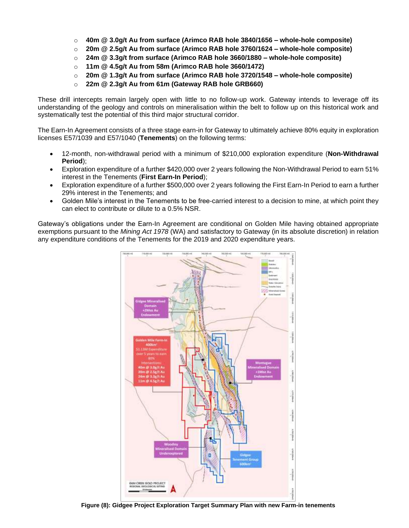- o **40m @ 3.0g/t Au from surface (Arimco RAB hole 3840/1656 – whole-hole composite)**
- o **20m @ 2.5g/t Au from surface (Arimco RAB hole 3760/1624 – whole-hole composite)**
- o **24m @ 3.3g/t from surface (Arimco RAB hole 3660/1880 – whole-hole composite)**
- o **11m @ 4.5g/t Au from 58m (Arimco RAB hole 3660/1472)**
- o **20m @ 1.3g/t Au from surface (Arimco RAB hole 3720/1548 – whole-hole composite)**
- o **22m @ 2.3g/t Au from 61m (Gateway RAB hole GRB660)**

These drill intercepts remain largely open with little to no follow-up work. Gateway intends to leverage off its understanding of the geology and controls on mineralisation within the belt to follow up on this historical work and systematically test the potential of this third major structural corridor.

The Earn-In Agreement consists of a three stage earn-in for Gateway to ultimately achieve 80% equity in exploration licenses E57/1039 and E57/1040 (**Tenements**) on the following terms:

- 12-month, non-withdrawal period with a minimum of \$210,000 exploration expenditure (**Non-Withdrawal Period**);
- Exploration expenditure of a further \$420,000 over 2 years following the Non-Withdrawal Period to earn 51% interest in the Tenements (**First Earn-In Period**);
- Exploration expenditure of a further \$500,000 over 2 years following the First Earn-In Period to earn a further 29% interest in the Tenements; and
- Golden Mile's interest in the Tenements to be free-carried interest to a decision to mine, at which point they can elect to contribute or dilute to a 0.5% NSR.

Gateway's obligations under the Earn-In Agreement are conditional on Golden Mile having obtained appropriate exemptions pursuant to the *Mining Act 1978* (WA) and satisfactory to Gateway (in its absolute discretion) in relation any expenditure conditions of the Tenements for the 2019 and 2020 expenditure years.



**Figure (8): Gidgee Project Exploration Target Summary Plan with new Farm-in tenements**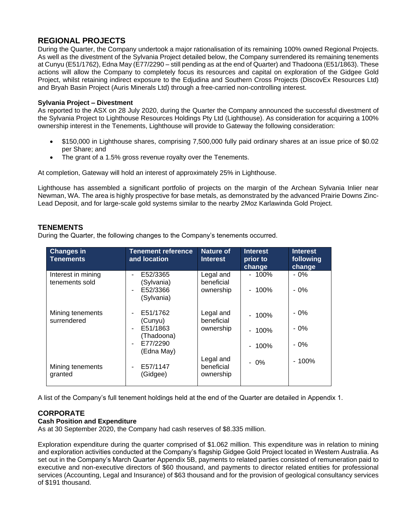## **REGIONAL PROJECTS**

During the Quarter, the Company undertook a major rationalisation of its remaining 100% owned Regional Projects. As well as the divestment of the Sylvania Project detailed below, the Company surrendered its remaining tenements at Cunyu (E51/1762), Edna May (E77/2290 – still pending as at the end of Quarter) and Thadoona (E51/1863). These actions will allow the Company to completely focus its resources and capital on exploration of the Gidgee Gold Project, whilst retaining indirect exposure to the Edjudina and Southern Cross Projects (DiscovEx Resources Ltd) and Bryah Basin Project (Auris Minerals Ltd) through a free-carried non-controlling interest.

## **Sylvania Project – Divestment**

As reported to the ASX on 28 July 2020, during the Quarter the Company announced the successful divestment of the Sylvania Project to Lighthouse Resources Holdings Pty Ltd (Lighthouse). As consideration for acquiring a 100% ownership interest in the Tenements, Lighthouse will provide to Gateway the following consideration:

- \$150,000 in Lighthouse shares, comprising 7,500,000 fully paid ordinary shares at an issue price of \$0.02 per Share; and
- The grant of a 1.5% gross revenue royalty over the Tenements.

At completion, Gateway will hold an interest of approximately 25% in Lighthouse.

Lighthouse has assembled a significant portfolio of projects on the margin of the Archean Sylvania Inlier near Newman, WA. The area is highly prospective for base metals, as demonstrated by the advanced Prairie Downs Zinc-Lead Deposit, and for large-scale gold systems similar to the nearby 2Moz Karlawinda Gold Project.

## **TENEMENTS**

During the Quarter, the following changes to the Company's tenements occurred.

| <b>Changes in</b><br><b>Tenements</b> | <b>Tenement reference</b><br>and location                               | <b>Nature of</b><br><b>Interest</b>  | <b>Interest</b><br>prior to<br>change | <b>Interest</b><br>following<br>change |
|---------------------------------------|-------------------------------------------------------------------------|--------------------------------------|---------------------------------------|----------------------------------------|
| Interest in mining<br>tenements sold  | E52/3365<br>(Sylvania)<br>E52/3366<br>$\blacksquare$<br>(Sylvania)      | Legal and<br>beneficial<br>ownership | $-100\%$<br>$-100\%$                  | $-0\%$<br>- 0%                         |
| Mining tenements<br>surrendered       | E51/1762<br>(Cunyu)<br>E51/1863<br>(Thadoona)<br>E77/2290<br>(Edna May) | Legal and<br>beneficial<br>ownership | $-100%$<br>$-100%$<br>$-100%$         | - 0%<br>- 0%<br>- 0%                   |
| Mining tenements<br>granted           | E57/1147<br>(Gidgee)                                                    | Legal and<br>beneficial<br>ownership | $-0\%$                                | $-100%$                                |

A list of the Company's full tenement holdings held at the end of the Quarter are detailed in Appendix 1.

## **CORPORATE**

#### **Cash Position and Expenditure**

As at 30 September 2020, the Company had cash reserves of \$8.335 million.

Exploration expenditure during the quarter comprised of \$1.062 million. This expenditure was in relation to mining and exploration activities conducted at the Company's flagship Gidgee Gold Project located in Western Australia. As set out in the Company's March Quarter Appendix 5B, payments to related parties consisted of remuneration paid to executive and non-executive directors of \$60 thousand, and payments to director related entities for professional services (Accounting, Legal and Insurance) of \$63 thousand and for the provision of geological consultancy services of \$191 thousand.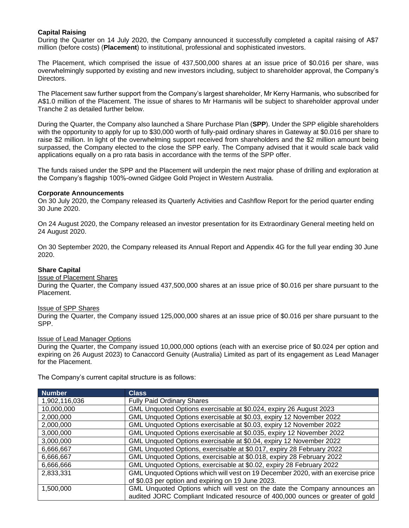## **Capital Raising**

During the Quarter on 14 July 2020, the Company announced it successfully completed a capital raising of A\$7 million (before costs) (**Placement**) to institutional, professional and sophisticated investors.

The Placement, which comprised the issue of 437,500,000 shares at an issue price of \$0.016 per share, was overwhelmingly supported by existing and new investors including, subject to shareholder approval, the Company's Directors.

The Placement saw further support from the Company's largest shareholder, Mr Kerry Harmanis, who subscribed for A\$1.0 million of the Placement. The issue of shares to Mr Harmanis will be subject to shareholder approval under Tranche 2 as detailed further below.

During the Quarter, the Company also launched a Share Purchase Plan (**SPP**). Under the SPP eligible shareholders with the opportunity to apply for up to \$30,000 worth of fully-paid ordinary shares in Gateway at \$0.016 per share to raise \$2 million. In light of the overwhelming support received from shareholders and the \$2 million amount being surpassed, the Company elected to the close the SPP early. The Company advised that it would scale back valid applications equally on a pro rata basis in accordance with the terms of the SPP offer.

The funds raised under the SPP and the Placement will underpin the next major phase of drilling and exploration at the Company's flagship 100%-owned Gidgee Gold Project in Western Australia.

#### **Corporate Announcements**

On 30 July 2020, the Company released its Quarterly Activities and Cashflow Report for the period quarter ending 30 June 2020.

On 24 August 2020, the Company released an investor presentation for its Extraordinary General meeting held on 24 August 2020.

On 30 September 2020, the Company released its Annual Report and Appendix 4G for the full year ending 30 June 2020.

#### **Share Capital**

### Issue of Placement Shares

During the Quarter, the Company issued 437,500,000 shares at an issue price of \$0.016 per share pursuant to the Placement.

#### Issue of SPP Shares

During the Quarter, the Company issued 125,000,000 shares at an issue price of \$0.016 per share pursuant to the SPP.

#### Issue of Lead Manager Options

During the Quarter, the Company issued 10,000,000 options (each with an exercise price of \$0.024 per option and expiring on 26 August 2023) to Canaccord Genuity (Australia) Limited as part of its engagement as Lead Manager for the Placement.

The Company's current capital structure is as follows:

| <b>Number</b> | <b>Class</b>                                                                     |
|---------------|----------------------------------------------------------------------------------|
| 1,902,116,036 | <b>Fully Paid Ordinary Shares</b>                                                |
| 10,000,000    | GML Unquoted Options exercisable at \$0.024, expiry 26 August 2023               |
| 2,000,000     | GML Unquoted Options exercisable at \$0.03, expiry 12 November 2022              |
| 2,000,000     | GML Unquoted Options exercisable at \$0.03, expiry 12 November 2022              |
| 3,000,000     | GML Unquoted Options exercisable at \$0.035, expiry 12 November 2022             |
| 3,000,000     | GML Unquoted Options exercisable at \$0.04, expiry 12 November 2022              |
| 6,666,667     | GML Unquoted Options, exercisable at \$0.017, expiry 28 February 2022            |
| 6,666,667     | GML Unquoted Options, exercisable at \$0.018, expiry 28 February 2022            |
| 6,666,666     | GML Unquoted Options, exercisable at \$0.02, expiry 28 February 2022             |
| 2,833,331     | GML Unquoted Options which will vest on 19 December 2020, with an exercise price |
|               | of \$0.03 per option and expiring on 19 June 2023.                               |
| 1,500,000     | GML Unquoted Options which will vest on the date the Company announces an        |
|               | audited JORC Compliant Indicated resource of 400,000 ounces or greater of gold   |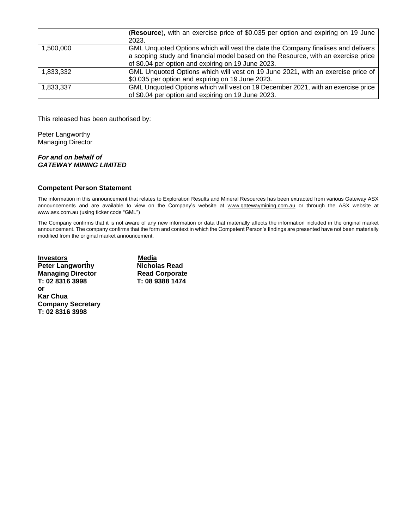|           | (Resource), with an exercise price of \$0.035 per option and expiring on 19 June<br>2023.                                                                                                                                   |
|-----------|-----------------------------------------------------------------------------------------------------------------------------------------------------------------------------------------------------------------------------|
| 1.500.000 | GML Unquoted Options which will vest the date the Company finalises and delivers<br>a scoping study and financial model based on the Resource, with an exercise price<br>of \$0.04 per option and expiring on 19 June 2023. |
| 1,833,332 | GML Unquoted Options which will vest on 19 June 2021, with an exercise price of<br>\$0.035 per option and expiring on 19 June 2023.                                                                                         |
| 1,833,337 | GML Unquoted Options which will vest on 19 December 2021, with an exercise price<br>of \$0.04 per option and expiring on 19 June 2023.                                                                                      |

This released has been authorised by:

Peter Langworthy Managing Director

#### *For and on behalf of GATEWAY MINING LIMITED*

#### **Competent Person Statement**

The information in this announcement that relates to Exploration Results and Mineral Resources has been extracted from various Gateway ASX announcements and are available to view on the Company's website at [www.gatewaymining.com.au](http://www.gatewaymining.com.au/) or through the ASX website at [www.asx.com.au](http://www.asx.com.au/) (using ticker code "GML")

The Company confirms that it is not aware of any new information or data that materially affects the information included in the original market announcement. The company confirms that the form and context in which the Competent Person's findings are presented have not been materially modified from the original market announcement.

<u>Investors</u><br> **Peter Langworthy** Micholas Read **Peter Langworthy Managing Director 6 8 8 8 8 8 8 8 8 8 8 8 8 9 8 8 8 9 8 8 9 8 8 9 8 8 9 8 8 9 8 8 9 8 8 9 8 8 9 8 8 9 8 8 9 8 8 9 8 8 9 8 8 9 8 8 9 8 8 9 8 8 9 8 8 9 8 8 9 8 8 9 8 8 9 8 8 9 8 8 9 8 8 9 8 8 9 8 8 9 8 8 9 8 8 9 8 9 8 9 8 9** T: 02 8316 3998 **or Kar Chua Company Secretary T: 02 8316 3998**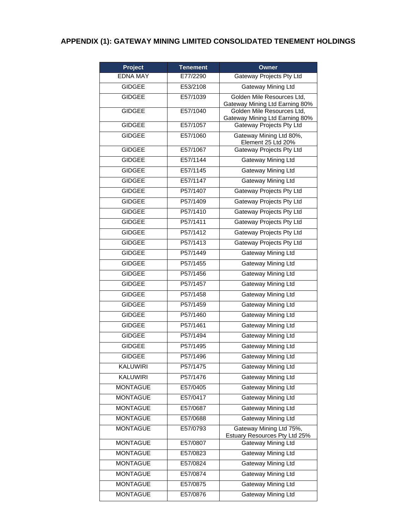## **APPENDIX (1): GATEWAY MINING LIMITED CONSOLIDATED TENEMENT HOLDINGS**

| Project         | <b>Tenement</b> | Owner                                                        |
|-----------------|-----------------|--------------------------------------------------------------|
| <b>EDNA MAY</b> | E77/2290        | Gateway Projects Pty Ltd                                     |
| <b>GIDGEE</b>   | E53/2108        | <b>Gateway Mining Ltd</b>                                    |
| <b>GIDGEE</b>   | E57/1039        | Golden Mile Resources Ltd,<br>Gateway Mining Ltd Earning 80% |
| <b>GIDGEE</b>   | E57/1040        | Golden Mile Resources Ltd,<br>Gateway Mining Ltd Earning 80% |
| <b>GIDGEE</b>   | E57/1057        | Gateway Projects Pty Ltd                                     |
| <b>GIDGEE</b>   | E57/1060        | Gateway Mining Ltd 80%,<br>Element 25 Ltd 20%                |
| <b>GIDGEE</b>   | E57/1067        | <b>Gateway Projects Pty Ltd</b>                              |
| <b>GIDGEE</b>   | E57/1144        | Gateway Mining Ltd                                           |
| <b>GIDGEE</b>   | E57/1145        | Gateway Mining Ltd                                           |
| <b>GIDGEE</b>   | E57/1147        | <b>Gateway Mining Ltd</b>                                    |
| <b>GIDGEE</b>   | P57/1407        | Gateway Projects Pty Ltd                                     |
| <b>GIDGEE</b>   | P57/1409        | Gateway Projects Pty Ltd                                     |
| <b>GIDGEE</b>   | P57/1410        | Gateway Projects Pty Ltd                                     |
| <b>GIDGEE</b>   | P57/1411        | Gateway Projects Pty Ltd                                     |
| <b>GIDGEE</b>   | P57/1412        | Gateway Projects Pty Ltd                                     |
| <b>GIDGEE</b>   | P57/1413        | Gateway Projects Pty Ltd                                     |
| <b>GIDGEE</b>   | P57/1449        | Gateway Mining Ltd                                           |
| <b>GIDGEE</b>   | P57/1455        | Gateway Mining Ltd                                           |
| <b>GIDGEE</b>   | P57/1456        | Gateway Mining Ltd                                           |
| <b>GIDGEE</b>   | P57/1457        | Gateway Mining Ltd                                           |
| <b>GIDGEE</b>   | P57/1458        | Gateway Mining Ltd                                           |
| <b>GIDGEE</b>   | P57/1459        | Gateway Mining Ltd                                           |
| <b>GIDGEE</b>   | P57/1460        | Gateway Mining Ltd                                           |
| <b>GIDGEE</b>   | P57/1461        | Gateway Mining Ltd                                           |
| <b>GIDGEE</b>   | P57/1494        | Gateway Mining Ltd                                           |
| <b>GIDGEE</b>   | P57/1495        | Gateway Mining Ltd                                           |
| <b>GIDGEE</b>   | P57/1496        | Gateway Mining Ltd                                           |
| <b>KALUWIRI</b> | P57/1475        | Gateway Mining Ltd                                           |
| <b>KALUWIRI</b> | P57/1476        | <b>Gateway Mining Ltd</b>                                    |
| <b>MONTAGUE</b> | E57/0405        | <b>Gateway Mining Ltd</b>                                    |
| <b>MONTAGUE</b> | E57/0417        | Gateway Mining Ltd                                           |
| <b>MONTAGUE</b> | E57/0687        | <b>Gateway Mining Ltd</b>                                    |
| <b>MONTAGUE</b> | E57/0688        | Gateway Mining Ltd                                           |
| <b>MONTAGUE</b> | E57/0793        | Gateway Mining Ltd 75%,<br>Estuary Resources Pty Ltd 25%     |
| <b>MONTAGUE</b> | E57/0807        | Gateway Mining Ltd                                           |
| <b>MONTAGUE</b> | E57/0823        | Gateway Mining Ltd                                           |
| <b>MONTAGUE</b> | E57/0824        | Gateway Mining Ltd                                           |
| <b>MONTAGUE</b> | E57/0874        | <b>Gateway Mining Ltd</b>                                    |
| <b>MONTAGUE</b> | E57/0875        | <b>Gateway Mining Ltd</b>                                    |
| <b>MONTAGUE</b> | E57/0876        | Gateway Mining Ltd                                           |